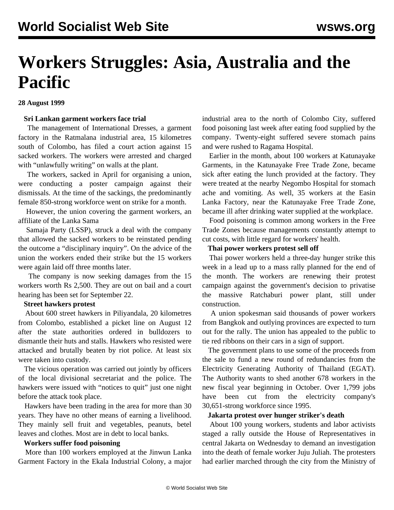# **Workers Struggles: Asia, Australia and the Pacific**

## **28 August 1999**

## **Sri Lankan garment workers face trial**

 The management of International Dresses, a garment factory in the Ratmalana industrial area, 15 kilometres south of Colombo, has filed a court action against 15 sacked workers. The workers were arrested and charged with "unlawfully writing" on walls at the plant.

 The workers, sacked in April for organising a union, were conducting a poster campaign against their dismissals. At the time of the sackings, the predominantly female 850-strong workforce went on strike for a month.

 However, the union covering the garment workers, an affiliate of the Lanka Sama

 Samaja Party (LSSP), struck a deal with the company that allowed the sacked workers to be reinstated pending the outcome a "disciplinary inquiry". On the advice of the union the workers ended their strike but the 15 workers were again laid off three months later.

 The company is now seeking damages from the 15 workers worth Rs 2,500. They are out on bail and a court hearing has been set for September 22.

# **Street hawkers protest**

 About 600 street hawkers in Piliyandala, 20 kilometres from Colombo, established a picket line on August 12 after the state authorities ordered in bulldozers to dismantle their huts and stalls. Hawkers who resisted were attacked and brutally beaten by riot police. At least six were taken into custody.

 The vicious operation was carried out jointly by officers of the local divisional secretariat and the police. The hawkers were issued with "notices to quit" just one night before the attack took place.

 Hawkers have been trading in the area for more than 30 years. They have no other means of earning a livelihood. They mainly sell fruit and vegetables, peanuts, betel leaves and clothes. Most are in debt to local banks.

## **Workers suffer food poisoning**

 More than 100 workers employed at the Jinwun Lanka Garment Factory in the Ekala Industrial Colony, a major industrial area to the north of Colombo City, suffered food poisoning last week after eating food supplied by the company. Twenty-eight suffered severe stomach pains and were rushed to Ragama Hospital.

 Earlier in the month, about 100 workers at Katunayake Garments, in the Katunayake Free Trade Zone, became sick after eating the lunch provided at the factory. They were treated at the nearby Negombo Hospital for stomach ache and vomiting. As well, 35 workers at the Easin Lanka Factory, near the Katunayake Free Trade Zone, became ill after drinking water supplied at the workplace.

 Food poisoning is common among workers in the Free Trade Zones because managements constantly attempt to cut costs, with little regard for workers' health.

## **Thai power workers protest sell off**

 Thai power workers held a three-day hunger strike this week in a lead up to a mass rally planned for the end of the month. The workers are renewing their protest campaign against the government's decision to privatise the massive Ratchaburi power plant, still under construction.

 A union spokesman said thousands of power workers from Bangkok and outlying provinces are expected to turn out for the rally. The union has appealed to the public to tie red ribbons on their cars in a sign of support.

 The government plans to use some of the proceeds from the sale to fund a new round of redundancies from the Electricity Generating Authority of Thailand (EGAT). The Authority wants to shed another 678 workers in the new fiscal year beginning in October. Over 1,799 jobs have been cut from the electricity company's 30,651-strong workforce since 1995.

#### **Jakarta protest over hunger striker's death**

 About 100 young workers, students and labor activists staged a rally outside the House of Representatives in central Jakarta on Wednesday to demand an investigation into the death of female worker Juju Juliah. The protesters had earlier marched through the city from the Ministry of